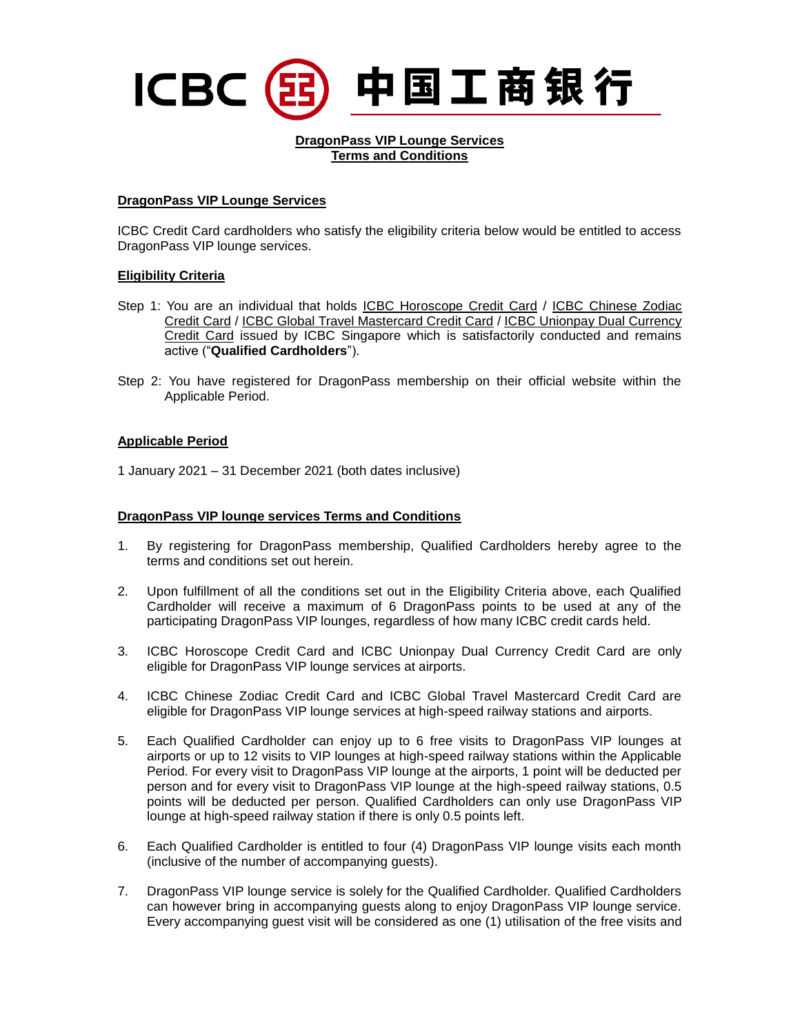# 中国工商银行 ICBC (E

#### **DragonPass VIP Lounge Services Terms and Conditions**

### **DragonPass VIP Lounge Services**

ICBC Credit Card cardholders who satisfy the eligibility criteria below would be entitled to access DragonPass VIP lounge services.

### **Eligibility Criteria**

- Step 1: You are an individual that holds ICBC Horoscope Credit Card / ICBC Chinese Zodiac Credit Card / ICBC Global Travel Mastercard Credit Card / ICBC Unionpay Dual Currency Credit Card issued by ICBC Singapore which is satisfactorily conducted and remains active ("**Qualified Cardholders**").
- Step 2: You have registered for DragonPass membership on their official website within the Applicable Period.

### **Applicable Period**

1 January 2021 – 31 December 2021 (both dates inclusive)

#### **DragonPass VIP lounge services Terms and Conditions**

- 1. By registering for DragonPass membership, Qualified Cardholders hereby agree to the terms and conditions set out herein.
- 2. Upon fulfillment of all the conditions set out in the Eligibility Criteria above, each Qualified Cardholder will receive a maximum of 6 DragonPass points to be used at any of the participating DragonPass VIP lounges, regardless of how many ICBC credit cards held.
- 3. ICBC Horoscope Credit Card and ICBC Unionpay Dual Currency Credit Card are only eligible for DragonPass VIP lounge services at airports.
- 4. ICBC Chinese Zodiac Credit Card and ICBC Global Travel Mastercard Credit Card are eligible for DragonPass VIP lounge services at high-speed railway stations and airports.
- 5. Each Qualified Cardholder can enjoy up to 6 free visits to DragonPass VIP lounges at airports or up to 12 visits to VIP lounges at high-speed railway stations within the Applicable Period. For every visit to DragonPass VIP lounge at the airports, 1 point will be deducted per person and for every visit to DragonPass VIP lounge at the high-speed railway stations, 0.5 points will be deducted per person. Qualified Cardholders can only use DragonPass VIP lounge at high-speed railway station if there is only 0.5 points left.
- 6. Each Qualified Cardholder is entitled to four (4) DragonPass VIP lounge visits each month (inclusive of the number of accompanying guests).
- 7. DragonPass VIP lounge service is solely for the Qualified Cardholder. Qualified Cardholders can however bring in accompanying guests along to enjoy DragonPass VIP lounge service. Every accompanying guest visit will be considered as one (1) utilisation of the free visits and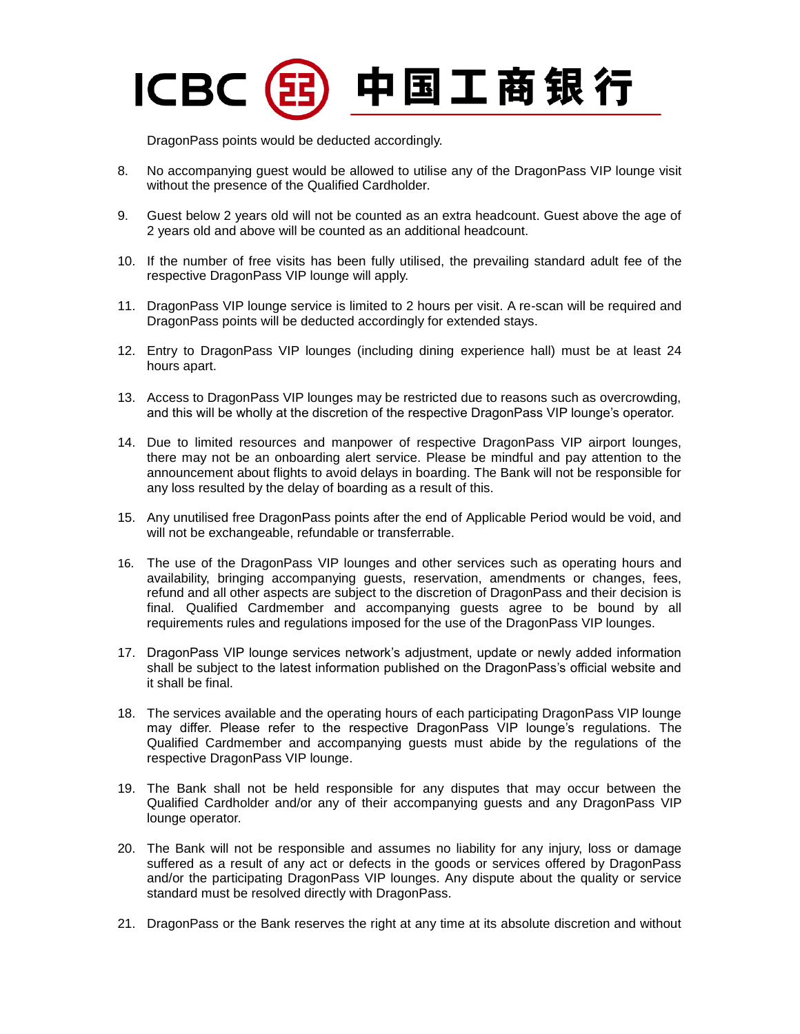## 中国工商银行 **ICBC**

DragonPass points would be deducted accordingly.

- 8. No accompanying guest would be allowed to utilise any of the DragonPass VIP lounge visit without the presence of the Qualified Cardholder.
- 9. Guest below 2 years old will not be counted as an extra headcount. Guest above the age of 2 years old and above will be counted as an additional headcount.
- 10. If the number of free visits has been fully utilised, the prevailing standard adult fee of the respective DragonPass VIP lounge will apply.
- 11. DragonPass VIP lounge service is limited to 2 hours per visit. A re-scan will be required and DragonPass points will be deducted accordingly for extended stays.
- 12. Entry to DragonPass VIP lounges (including dining experience hall) must be at least 24 hours apart.
- 13. Access to DragonPass VIP lounges may be restricted due to reasons such as overcrowding, and this will be wholly at the discretion of the respective DragonPass VIP lounge's operator.
- 14. Due to limited resources and manpower of respective DragonPass VIP airport lounges, there may not be an onboarding alert service. Please be mindful and pay attention to the announcement about flights to avoid delays in boarding. The Bank will not be responsible for any loss resulted by the delay of boarding as a result of this.
- 15. Any unutilised free DragonPass points after the end of Applicable Period would be void, and will not be exchangeable, refundable or transferrable.
- 16. The use of the DragonPass VIP lounges and other services such as operating hours and availability, bringing accompanying guests, reservation, amendments or changes, fees, refund and all other aspects are subject to the discretion of DragonPass and their decision is final. Qualified Cardmember and accompanying guests agree to be bound by all requirements rules and regulations imposed for the use of the DragonPass VIP lounges.
- 17. DragonPass VIP lounge services network's adjustment, update or newly added information shall be subject to the latest information published on the DragonPass's official website and it shall be final.
- 18. The services available and the operating hours of each participating DragonPass VIP lounge may differ. Please refer to the respective DragonPass VIP lounge's regulations. The Qualified Cardmember and accompanying guests must abide by the regulations of the respective DragonPass VIP lounge.
- 19. The Bank shall not be held responsible for any disputes that may occur between the Qualified Cardholder and/or any of their accompanying guests and any DragonPass VIP lounge operator.
- 20. The Bank will not be responsible and assumes no liability for any injury, loss or damage suffered as a result of any act or defects in the goods or services offered by DragonPass and/or the participating DragonPass VIP lounges. Any dispute about the quality or service standard must be resolved directly with DragonPass.
- 21. DragonPass or the Bank reserves the right at any time at its absolute discretion and without